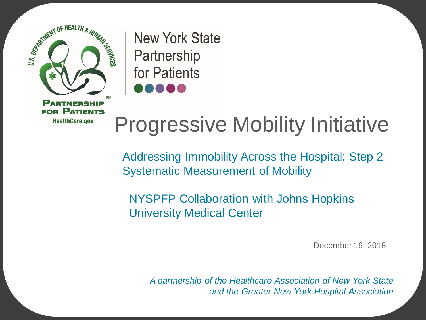

**New York State** Partnership for Patients

## Progressive Mobility Initiative

 Addressing Immobility Across the Hospital: Step 2 Systematic Measurement of Mobility

 University Medical Center NYSPFP Collaboration with Johns Hopkins

December 19, 2018

*A partnership of the Healthcare Association of New York State and the Greater New York Hospital Association*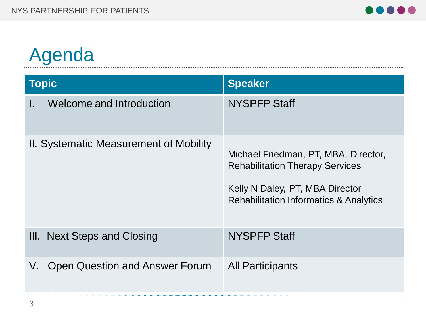# Agenda and a series of the contract of the contract of the contract of the contract of the contract of the contract of the contract of the contract of the contract of the contract of the contract of the contract of the con

| <b>Topic</b>                           | <b>Speaker</b>                                                                                                                                                         |
|----------------------------------------|------------------------------------------------------------------------------------------------------------------------------------------------------------------------|
| Welcome and Introduction<br>I.         | <b>NYSPFP Staff</b>                                                                                                                                                    |
| II. Systematic Measurement of Mobility | Michael Friedman, PT, MBA, Director,<br><b>Rehabilitation Therapy Services</b><br>Kelly N Daley, PT, MBA Director<br><b>Rehabilitation Informatics &amp; Analytics</b> |
| III. Next Steps and Closing            | <b>NYSPFP Staff</b>                                                                                                                                                    |
| Open Question and Answer Forum<br>V.   | <b>All Participants</b>                                                                                                                                                |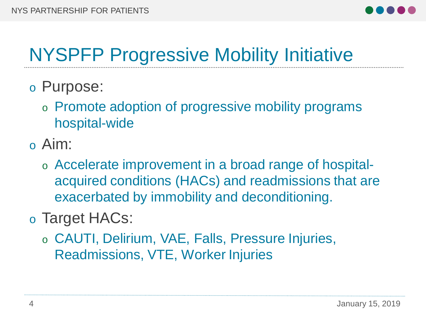

### NYSPFP Progressive Mobility Initiative

- o Purpose:
	- o Promote adoption of progressive mobility programs hospital-wide
- o Aim:
	- exacerbated by immobility and deconditioning. o Accelerate improvement in a broad range of hospitalacquired conditions (HACs) and readmissions that are
- o Target HACs:
	- o CAUTI, Delirium, VAE, Falls, Pressure Injuries, Readmissions, VTE, Worker Injuries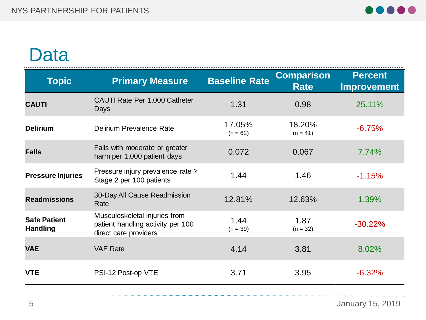

#### Data

| <b>Topic</b>                           | <b>Primary Measure</b>                                                                      | <b>Baseline Rate</b> | <b>Comparison</b><br><b>Rate</b> | <b>Percent</b><br><b>Improvement</b> |
|----------------------------------------|---------------------------------------------------------------------------------------------|----------------------|----------------------------------|--------------------------------------|
| <b>CAUTI</b>                           | CAUTI Rate Per 1,000 Catheter<br>Days                                                       | 1.31                 | 0.98                             | 25.11%                               |
| <b>Delirium</b>                        | Delirium Prevalence Rate                                                                    | 17.05%<br>$(n = 62)$ | 18.20%<br>$(n = 41)$             | $-6.75%$                             |
| <b>Falls</b>                           | Falls with moderate or greater<br>harm per 1,000 patient days                               | 0.072                | 0.067                            | 7.74%                                |
| <b>Pressure Injuries</b>               | Pressure injury prevalence rate ≥<br>Stage 2 per 100 patients                               | 1.44                 | 1.46                             | $-1.15%$                             |
| <b>Readmissions</b>                    | 30-Day All Cause Readmission<br>Rate                                                        | 12.81%               | 12.63%                           | 1.39%                                |
| <b>Safe Patient</b><br><b>Handling</b> | Musculoskeletal injuries from<br>patient handling activity per 100<br>direct care providers | 1.44<br>$(n = 39)$   | 1.87<br>$(n = 32)$               | $-30.22%$                            |
| <b>VAE</b>                             | <b>VAE Rate</b>                                                                             | 4.14                 | 3.81                             | 8.02%                                |
| <b>VTE</b>                             | PSI-12 Post-op VTE                                                                          | 3.71                 | 3.95                             | $-6.32%$                             |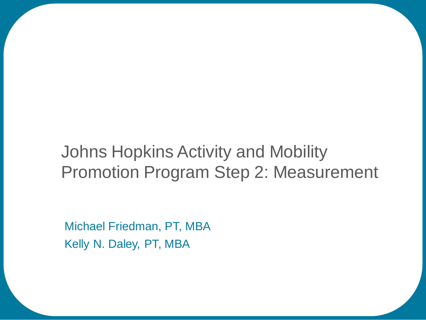#### Johns Hopkins Activity and Mobility Promotion Program Step 2: Measurement

 Michael Friedman, PT, MBA Kelly N. Daley, PT, MBA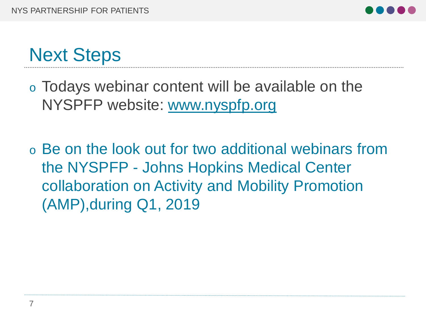

### Next Steps

 $\circ$  Todays webinar content will be available on the NYSPFP website: [www.nyspfp.org](http://www.nyspfp.org/)

o Be on the look out for two additional webinars from the NYSPFP - Johns Hopkins Medical Center collaboration on Activity and Mobility Promotion (AMP),during Q1, 2019